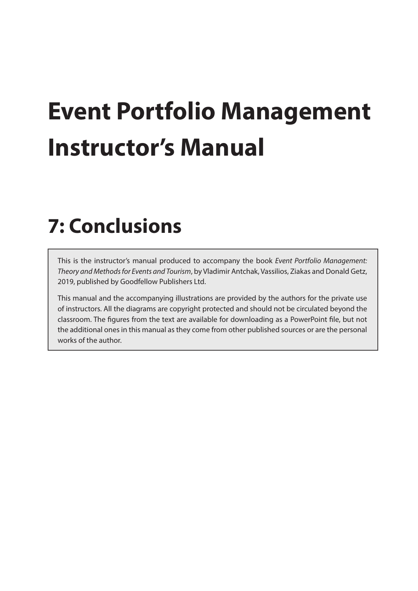# **Event Portfolio Management Instructor's Manual**

# **7: Conclusions**

This is the instructor's manual produced to accompany the book *Event Portfolio Management: Theory and Methods for Events and Tourism*, by Vladimir Antchak, Vassilios, Ziakas and Donald Getz, 2019, published by Goodfellow Publishers Ltd.

This manual and the accompanying illustrations are provided by the authors for the private use of instructors. All the diagrams are copyright protected and should not be circulated beyond the classroom. The figures from the text are available for downloading as a PowerPoint file, but not the additional ones in this manual as they come from other published sources or are the personal works of the author.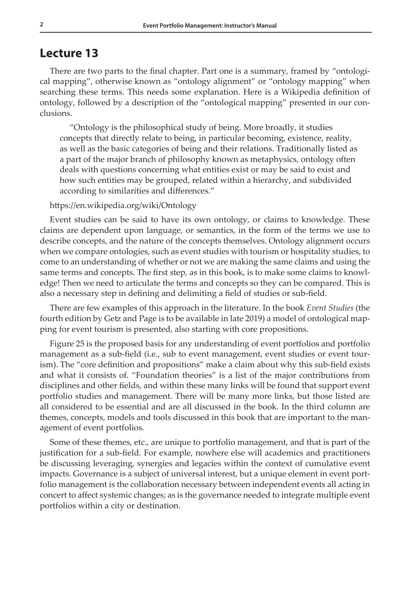# **Lecture 13**

There are two parts to the final chapter. Part one is a summary, framed by "ontological mapping", otherwise known as "ontology alignment" or "ontology mapping" when searching these terms. This needs some explanation. Here is a Wikipedia definition of ontology, followed by a description of the "ontological mapping" presented in our conclusions.

"Ontology is the philosophical study of being. More broadly, it studies concepts that directly relate to being, in particular becoming, existence, reality, as well as the basic categories of being and their relations. Traditionally listed as a part of the major branch of philosophy known as metaphysics, ontology often deals with questions concerning what entities exist or may be said to exist and how such entities may be grouped, related within a hierarchy, and subdivided according to similarities and differences."

https://en.wikipedia.org/wiki/Ontology

Event studies can be said to have its own ontology, or claims to knowledge. These claims are dependent upon language, or semantics, in the form of the terms we use to describe concepts, and the nature of the concepts themselves. Ontology alignment occurs when we compare ontologies, such as event studies with tourism or hospitality studies, to come to an understanding of whether or not we are making the same claims and using the same terms and concepts. The first step, as in this book, is to make some claims to knowledge! Then we need to articulate the terms and concepts so they can be compared. This is also a necessary step in defining and delimiting a field of studies or sub-field.

There are few examples of this approach in the literature. In the book *Event Studies* (the fourth edition by Getz and Page is to be available in late 2019) a model of ontological mapping for event tourism is presented, also starting with core propositions.

Figure 25 is the proposed basis for any understanding of event portfolios and portfolio management as a sub-field (i.e., sub to event management, event studies or event tourism). The "core definition and propositions" make a claim about why this sub-field exists and what it consists of. "Foundation theories" is a list of the major contributions from disciplines and other fields, and within these many links will be found that support event portfolio studies and management. There will be many more links, but those listed are all considered to be essential and are all discussed in the book. In the third column are themes, concepts, models and tools discussed in this book that are important to the management of event portfolios.

Some of these themes, etc., are unique to portfolio management, and that is part of the justification for a sub-field. For example, nowhere else will academics and practitioners be discussing leveraging, synergies and legacies within the context of cumulative event impacts. Governance is a subject of universal interest, but a unique element in event portfolio management is the collaboration necessary between independent events all acting in concert to affect systemic changes; as is the governance needed to integrate multiple event portfolios within a city or destination.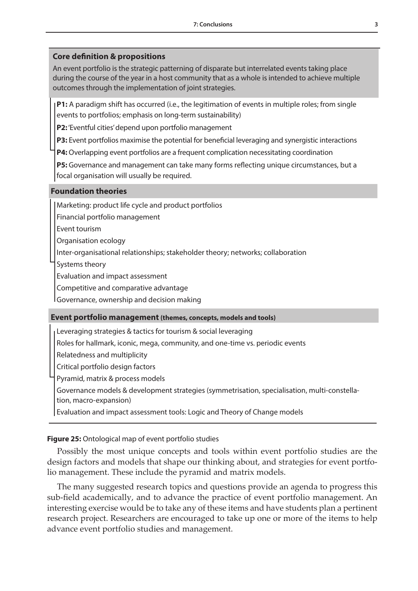# **Core definition & propositions**

An event portfolio is the strategic patterning of disparate but interrelated events taking place during the course of the year in a host community that as a whole is intended to achieve multiple outcomes through the implementation of joint strategies.

**P1:** A paradigm shift has occurred (i.e., the legitimation of events in multiple roles; from single events to portfolios; emphasis on long-term sustainability)

**P2:** 'Eventful cities' depend upon portfolio management

**P3:** Event portfolios maximise the potential for beneficial leveraging and synergistic interactions

**P4:** Overlapping event portfolios are a frequent complication necessitating coordination

**P5:** Governance and management can take many forms reflecting unique circumstances, but a focal organisation will usually be required.

#### **Foundation theories**

Marketing: product life cycle and product portfolios

Financial portfolio management

Event tourism

Organisation ecology

Inter-organisational relationships; stakeholder theory; networks; collaboration

Systems theory

Evaluation and impact assessment

Competitive and comparative advantage

Governance, ownership and decision making

#### **Event portfolio management (themes, concepts, models and tools)**

Leveraging strategies & tactics for tourism & social leveraging

Roles for hallmark, iconic, mega, community, and one-time vs. periodic events

Relatedness and multiplicity

Critical portfolio design factors

Pyramid, matrix & process models

Governance models & development strategies (symmetrisation, specialisation, multi-constellation, macro-expansion)

Evaluation and impact assessment tools: Logic and Theory of Change models

## **Figure 25:** Ontological map of event portfolio studies

Possibly the most unique concepts and tools within event portfolio studies are the design factors and models that shape our thinking about, and strategies for event portfolio management. These include the pyramid and matrix models.

The many suggested research topics and questions provide an agenda to progress this sub-field academically, and to advance the practice of event portfolio management. An interesting exercise would be to take any of these items and have students plan a pertinent research project. Researchers are encouraged to take up one or more of the items to help advance event portfolio studies and management.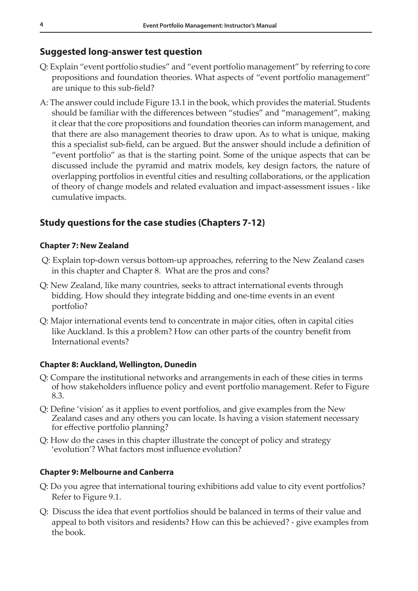# **Suggested long-answer test question**

- Q: Explain "event portfolio studies" and "event portfolio management" by referring to core propositions and foundation theories. What aspects of "event portfolio management" are unique to this sub-field?
- A: The answer could include Figure 13.1 in the book, which provides the material. Students should be familiar with the differences between "studies" and "management", making it clear that the core propositions and foundation theories can inform management, and that there are also management theories to draw upon. As to what is unique, making this a specialist sub-field, can be argued. But the answer should include a definition of "event portfolio" as that is the starting point. Some of the unique aspects that can be discussed include the pyramid and matrix models, key design factors, the nature of overlapping portfolios in eventful cities and resulting collaborations, or the application of theory of change models and related evaluation and impact-assessment issues - like cumulative impacts.

# **Study questions for the case studies (Chapters 7-12)**

#### **Chapter 7: New Zealand**

- Q: Explain top-down versus bottom-up approaches, referring to the New Zealand cases in this chapter and Chapter 8. What are the pros and cons?
- Q: New Zealand, like many countries, seeks to attract international events through bidding. How should they integrate bidding and one-time events in an event portfolio?
- Q: Major international events tend to concentrate in major cities, often in capital cities like Auckland. Is this a problem? How can other parts of the country benefit from International events?

#### **Chapter 8: Auckland, Wellington, Dunedin**

- Q: Compare the institutional networks and arrangements in each of these cities in terms of how stakeholders influence policy and event portfolio management. Refer to Figure 8.3.
- Q: Define 'vision' as it applies to event portfolios, and give examples from the New Zealand cases and any others you can locate. Is having a vision statement necessary for effective portfolio planning?
- Q: How do the cases in this chapter illustrate the concept of policy and strategy 'evolution'? What factors most influence evolution?

#### **Chapter 9: Melbourne and Canberra**

- Q: Do you agree that international touring exhibitions add value to city event portfolios? Refer to Figure 9.1.
- Q: Discuss the idea that event portfolios should be balanced in terms of their value and appeal to both visitors and residents? How can this be achieved? - give examples from the book.